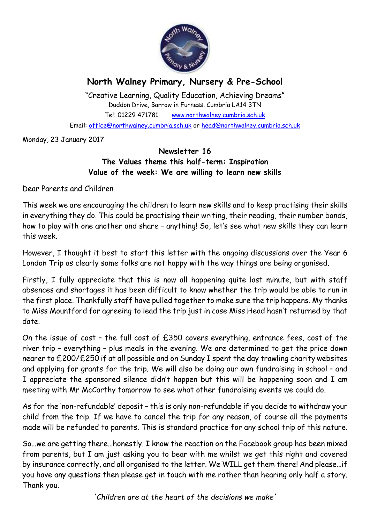

# **North Walney Primary, Nursery & Pre-School**

"Creative Learning, Quality Education, Achieving Dreams" Duddon Drive, Barrow in Furness, Cumbria LA14 3TN Tel: 01229 471781 www.northwalney.cumbria.sch.uk Email: office@northwalney.cumbria.sch.uk or head@northwalney.cumbria.sch.uk

Monday, 23 January 2017

# **Newsletter 16 The Values theme this half-term: Inspiration Value of the week: We are willing to learn new skills**

Dear Parents and Children

This week we are encouraging the children to learn new skills and to keep practising their skills in everything they do. This could be practising their writing, their reading, their number bonds, how to play with one another and share – anything! So, let's see what new skills they can learn this week.

However, I thought it best to start this letter with the ongoing discussions over the Year 6 London Trip as clearly some folks are not happy with the way things are being organised.

Firstly, I fully appreciate that this is now all happening quite last minute, but with staff absences and shortages it has been difficult to know whether the trip would be able to run in the first place. Thankfully staff have pulled together to make sure the trip happens. My thanks to Miss Mountford for agreeing to lead the trip just in case Miss Head hasn't returned by that date.

On the issue of cost – the full cost of £350 covers everything, entrance fees, cost of the river trip – everything – plus meals in the evening. We are determined to get the price down nearer to £200/£250 if at all possible and on Sunday I spent the day trawling charity websites and applying for grants for the trip. We will also be doing our own fundraising in school – and I appreciate the sponsored silence didn't happen but this will be happening soon and I am meeting with Mr McCarthy tomorrow to see what other fundraising events we could do.

As for the 'non-refundable' deposit – this is only non-refundable if you decide to withdraw your child from the trip. If we have to cancel the trip for any reason, of course all the payments made will be refunded to parents. This is standard practice for any school trip of this nature.

So…we are getting there…honestly. I know the reaction on the Facebook group has been mixed from parents, but I am just asking you to bear with me whilst we get this right and covered by insurance correctly, and all organised to the letter. We WILL get them there! And please…if you have any questions then please get in touch with me rather than hearing only half a story. Thank you.

*'Children are at the heart of the decisions we make'*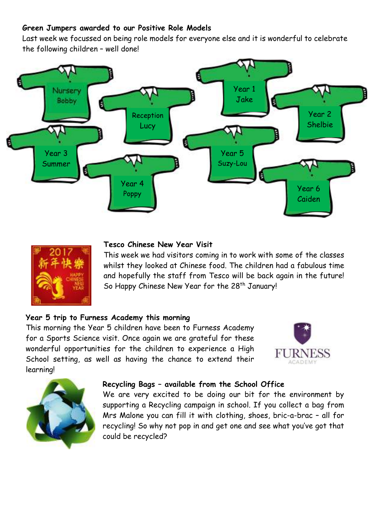# **Green Jumpers awarded to our Positive Role Models**

Last week we focussed on being role models for everyone else and it is wonderful to celebrate the following children – well done!





## **Tesco Chinese New Year Visit**

This week we had visitors coming in to work with some of the classes whilst they looked at Chinese food. The children had a fabulous time and hopefully the staff from Tesco will be back again in the future! So Happy Chinese New Year for the 28<sup>th</sup> January!

#### **Year 5 trip to Furness Academy this morning**

This morning the Year 5 children have been to Furness Academy for a Sports Science visit. Once again we are grateful for these wonderful opportunities for the children to experience a High School setting, as well as having the chance to extend their learning!





#### **Recycling Bags – available from the School Office**

We are very excited to be doing our bit for the environment by supporting a Recycling campaign in school. If you collect a bag from Mrs Malone you can fill it with clothing, shoes, bric-a-brac – all for recycling! So why not pop in and get one and see what you've got that could be recycled?